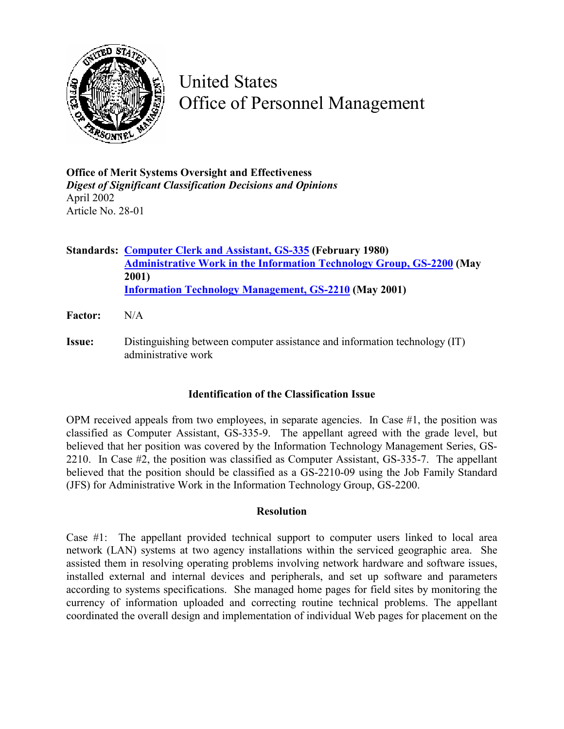

United States Office of Personnel Management

**Office of Merit Systems Oversight and Effectiveness**  *Digest of Significant Classification Decisions and Opinions*  April 2002 Article No. 28-01

**Standards: [Computer Clerk and Assistant, GS-335](http://www.opm.gov/fedclass/gs0335.pdf) (February 1980) [Administrative Work in the Information Technology Group, GS-2200](http://www.opm.gov/fedclass/gs2200a.pdf) (May 2001) [Information Technology Management, GS-2210](http://www.opm.gov/fedclass/gs2200a.pdf) (May 2001)** 

- **Factor:** N/A
- **Issue:** Distinguishing between computer assistance and information technology (IT) administrative work

## **Identification of the Classification Issue**

OPM received appeals from two employees, in separate agencies. In Case #1, the position was classified as Computer Assistant, GS-335-9. The appellant agreed with the grade level, but believed that her position was covered by the Information Technology Management Series, GS-2210. In Case #2, the position was classified as Computer Assistant, GS-335-7. The appellant believed that the position should be classified as a GS-2210-09 using the Job Family Standard (JFS) for Administrative Work in the Information Technology Group, GS-2200.

## **Resolution**

Case #1: The appellant provided technical support to computer users linked to local area network (LAN) systems at two agency installations within the serviced geographic area. She assisted them in resolving operating problems involving network hardware and software issues, installed external and internal devices and peripherals, and set up software and parameters according to systems specifications. She managed home pages for field sites by monitoring the currency of information uploaded and correcting routine technical problems. The appellant coordinated the overall design and implementation of individual Web pages for placement on the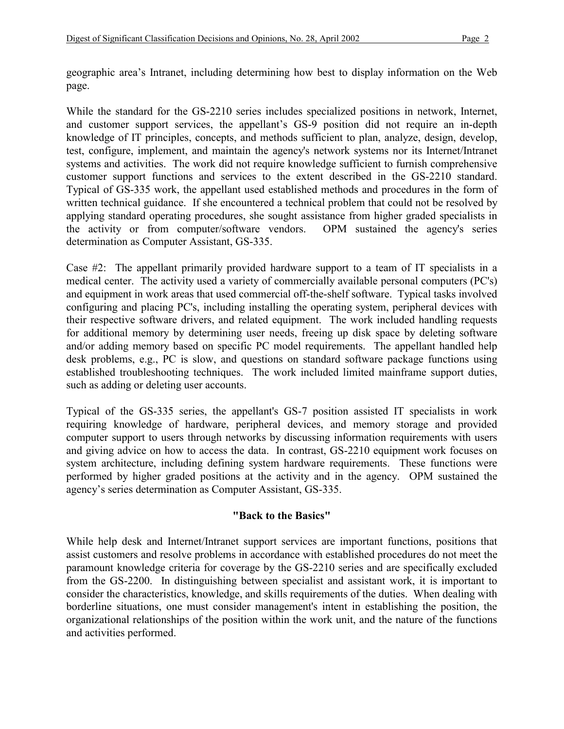geographic area's Intranet, including determining how best to display information on the Web page.

While the standard for the GS-2210 series includes specialized positions in network, Internet, and customer support services, the appellant's GS-9 position did not require an in-depth knowledge of IT principles, concepts, and methods sufficient to plan, analyze, design, develop, test, configure, implement, and maintain the agency's network systems nor its Internet/Intranet systems and activities. The work did not require knowledge sufficient to furnish comprehensive customer support functions and services to the extent described in the GS-2210 standard. Typical of GS-335 work, the appellant used established methods and procedures in the form of written technical guidance. If she encountered a technical problem that could not be resolved by applying standard operating procedures, she sought assistance from higher graded specialists in the activity or from computer/software vendors. OPM sustained the agency's series determination as Computer Assistant, GS-335.

Case #2: The appellant primarily provided hardware support to a team of IT specialists in a medical center. The activity used a variety of commercially available personal computers (PC's) and equipment in work areas that used commercial off-the-shelf software. Typical tasks involved configuring and placing PC's, including installing the operating system, peripheral devices with their respective software drivers, and related equipment. The work included handling requests for additional memory by determining user needs, freeing up disk space by deleting software and/or adding memory based on specific PC model requirements. The appellant handled help desk problems, e.g., PC is slow, and questions on standard software package functions using established troubleshooting techniques. The work included limited mainframe support duties, such as adding or deleting user accounts.

Typical of the GS-335 series, the appellant's GS-7 position assisted IT specialists in work requiring knowledge of hardware, peripheral devices, and memory storage and provided computer support to users through networks by discussing information requirements with users and giving advice on how to access the data. In contrast, GS-2210 equipment work focuses on system architecture, including defining system hardware requirements. These functions were performed by higher graded positions at the activity and in the agency. OPM sustained the agency's series determination as Computer Assistant, GS-335.

## **"Back to the Basics"**

While help desk and Internet/Intranet support services are important functions, positions that assist customers and resolve problems in accordance with established procedures do not meet the paramount knowledge criteria for coverage by the GS-2210 series and are specifically excluded from the GS-2200. In distinguishing between specialist and assistant work, it is important to consider the characteristics, knowledge, and skills requirements of the duties. When dealing with borderline situations, one must consider management's intent in establishing the position, the organizational relationships of the position within the work unit, and the nature of the functions and activities performed.